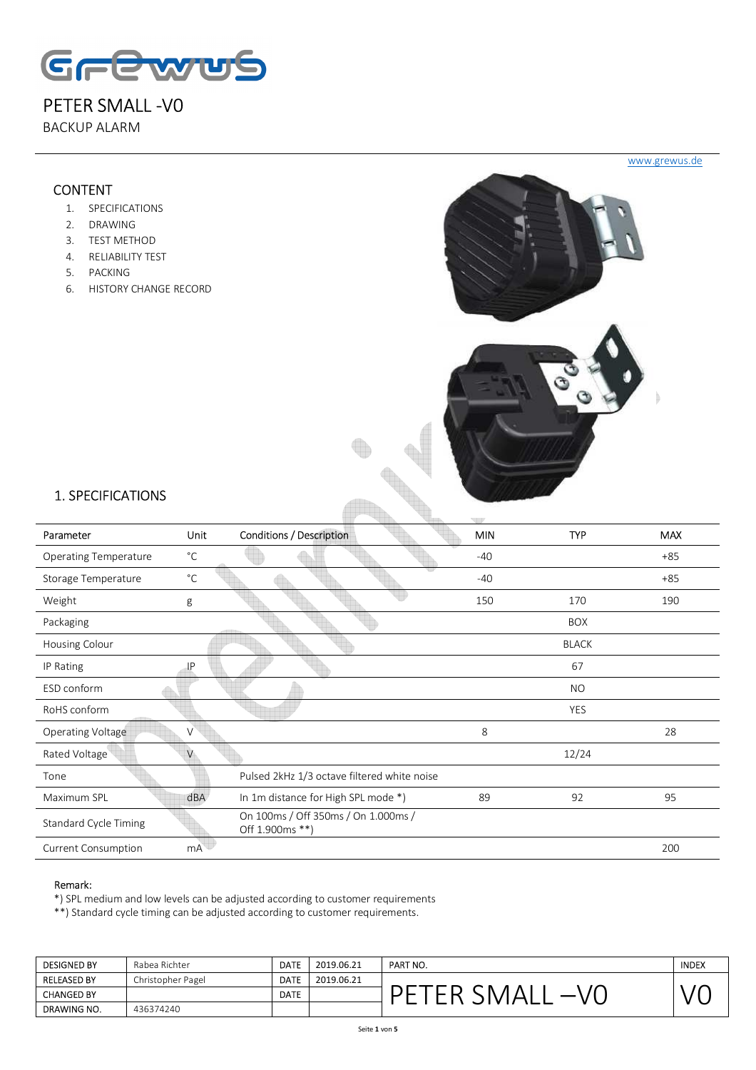

BACKUP ALARM

## CONTENT

- 1. SPECIFICATIONS
- 2. DRAWING
- 3. TEST METHOD
- 4. RELIABILITY TEST
- 5. PACKING
- 6. HISTORY CHANGE RECORD



# 1. SPECIFICATIONS

| Parameter                    | <b>Unit</b>     | <b>Conditions / Description</b>                        | which<br><b>MIN</b> | <b>TYP</b>   | <b>MAX</b> |
|------------------------------|-----------------|--------------------------------------------------------|---------------------|--------------|------------|
| <b>Operating Temperature</b> | $^{\circ}C$     |                                                        | $-40$               |              | $+85$      |
| Storage Temperature          | $^{\circ}$ C    |                                                        | $-40$               |              | $+85$      |
| Weight                       | g               |                                                        | 150                 | 170          | 190        |
| Packaging                    |                 |                                                        |                     | <b>BOX</b>   |            |
| Housing Colour               |                 |                                                        |                     | <b>BLACK</b> |            |
| IP Rating                    | IP              |                                                        |                     | 67           |            |
| ESD conform                  |                 |                                                        |                     | NO.          |            |
| RoHS conform                 |                 |                                                        |                     | <b>YES</b>   |            |
| Operating Voltage            | V               |                                                        | 8                   |              | 28         |
| Rated Voltage                | V               |                                                        |                     | 12/24        |            |
| Tone                         |                 | Pulsed 2kHz 1/3 octave filtered white noise            |                     |              |            |
| Maximum SPL                  | dBA             | In 1m distance for High SPL mode *)                    | 89                  | 92           | 95         |
| <b>Standard Cycle Timing</b> |                 | On 100ms / Off 350ms / On 1.000ms /<br>Off 1.900ms **) |                     |              |            |
| <b>Current Consumption</b>   | mA <sup>®</sup> |                                                        |                     |              | 200        |

Alb

#### Remark:

\*) SPL medium and low levels can be adjusted according to customer requirements

\*\*) Standard cycle timing can be adjusted according to customer requirements.

| <b>DESIGNED BY</b> | Rabea Richter     | <b>DATE</b> | 2019.06.21 | PART NO. | <b>INDEX</b> |
|--------------------|-------------------|-------------|------------|----------|--------------|
| <b>RELEASED BY</b> | Christopher Pagel | <b>DATE</b> | 2019.06.21 |          |              |
| <b>CHANGED BY</b>  |                   | <b>DATE</b> |            | -        |              |
| DRAWING NO.        | 436374240         |             |            |          |              |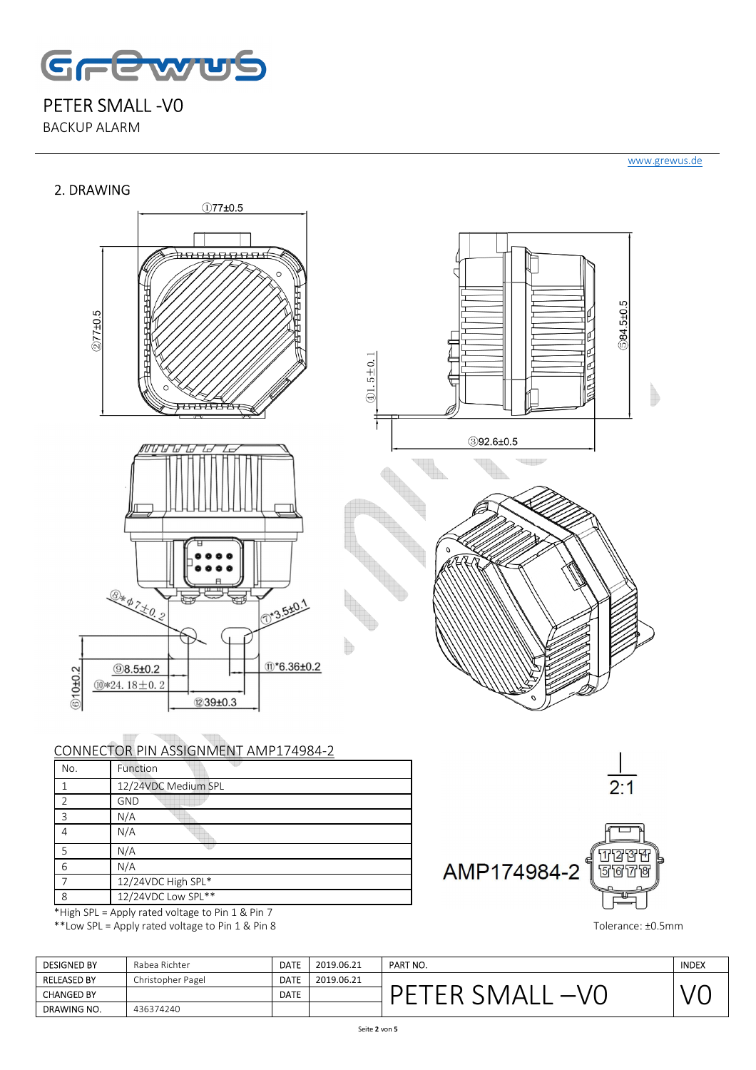

BACKUP ALARM

### 2. DRAWING

#### www.grewus.de



# CONNECTOR PIN ASSIGNMENT AMP174984-2

| No.           | Function                                                                                                                                                                                                                                                                                   |
|---------------|--------------------------------------------------------------------------------------------------------------------------------------------------------------------------------------------------------------------------------------------------------------------------------------------|
|               | 12/24VDC Medium SPL                                                                                                                                                                                                                                                                        |
| $\mathcal{P}$ | <b>GND</b>                                                                                                                                                                                                                                                                                 |
| 3             | N/A                                                                                                                                                                                                                                                                                        |
| 4             | N/A                                                                                                                                                                                                                                                                                        |
| 5             | N/A                                                                                                                                                                                                                                                                                        |
| 6             | N/A                                                                                                                                                                                                                                                                                        |
|               | 12/24VDC High SPL*                                                                                                                                                                                                                                                                         |
| 8             | 12/24VDC Low SPL**                                                                                                                                                                                                                                                                         |
|               | And the set of the late $\mathbb{R}$ and $\mathbb{R}$ and $\mathbb{R}$ and $\mathbb{R}$ and $\mathbb{R}$ and $\mathbb{R}$ and $\mathbb{R}$ and $\mathbb{R}$ and $\mathbb{R}$ and $\mathbb{R}$ and $\mathbb{R}$ and $\mathbb{R}$ and $\mathbb{R}$ and $\mathbb{R}$ and $\mathbb{R}$ and $\$ |

\*High SPL = Apply rated voltage to Pin 1 & Pin 7 \*\*Low SPL = Apply rated voltage to Pin 1 & Pin 8 Tolerance: ±0.5mm



| <b>DESIGNED BY</b> | Rabea Richter     | <b>DATE</b> | 2019.06.21 | PART NO. | <b>INDEX</b> |
|--------------------|-------------------|-------------|------------|----------|--------------|
| <b>RELEASED BY</b> | Christopher Pagel | <b>DATE</b> | 2019.06.21 |          |              |
| <b>CHANGED BY</b>  |                   | <b>DATE</b> |            |          |              |
| DRAWING NO.        | 436374240         |             |            |          |              |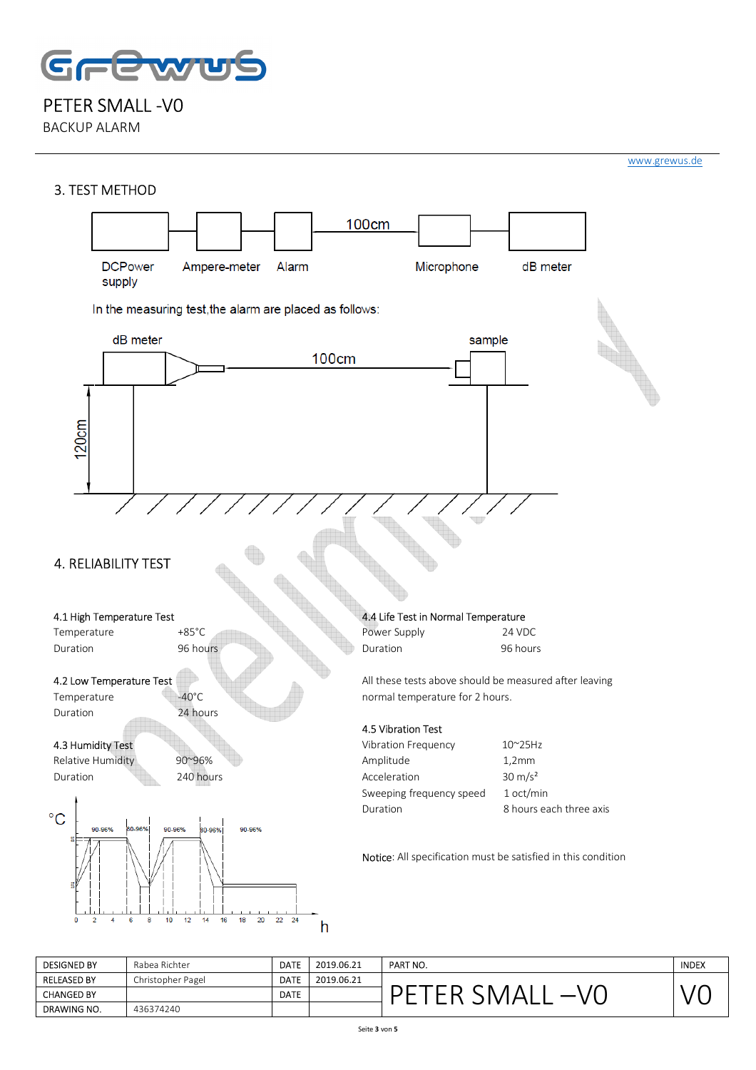

BACKUP ALARM



| <b>DESIGNED BY</b> | Rabea Richter     | <b>DATE</b> | 2019.06.21 | PART NO. | <b>INDEX</b> |
|--------------------|-------------------|-------------|------------|----------|--------------|
| <b>RELEASED BY</b> | Christopher Pagel | <b>DATE</b> | 2019.06.21 |          |              |
| <b>CHANGED BY</b>  |                   | <b>DATE</b> |            |          |              |
| DRAWING NO.        | 436374240         |             |            |          |              |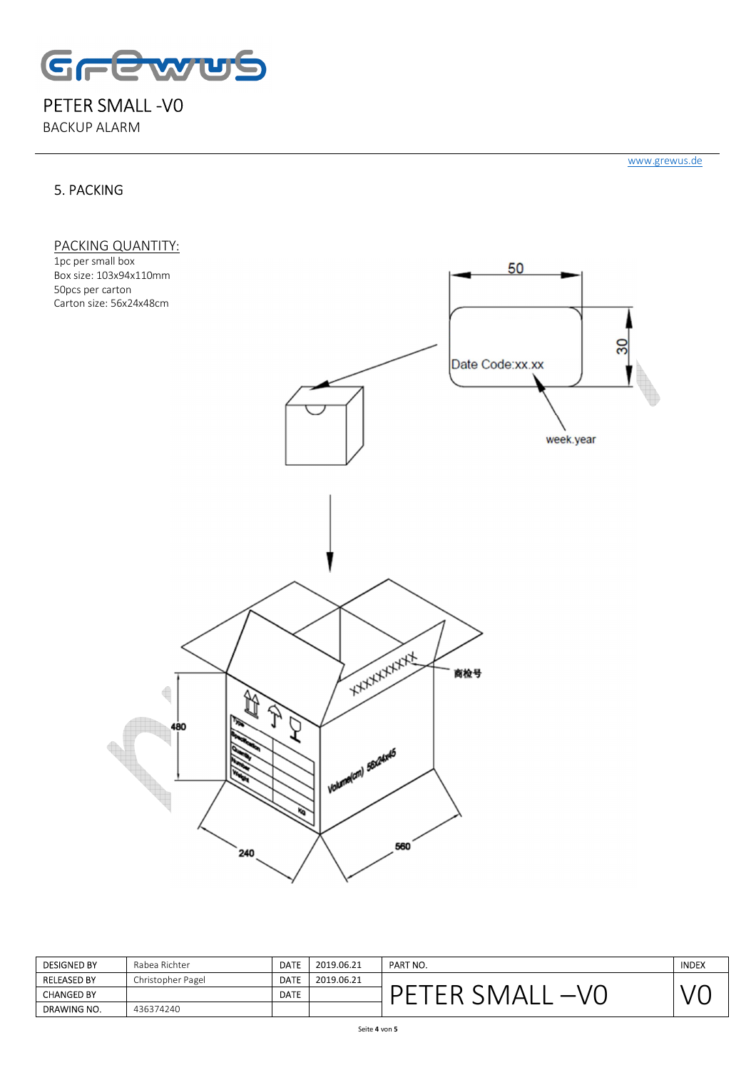

BACKUP ALARM

## 5. PACKING

www.grewus.de



| <b>DESIGNED BY</b> | Rabea Richter     | <b>DATE</b> | 2019.06.21 | PART NO. | <b>INDEX</b> |
|--------------------|-------------------|-------------|------------|----------|--------------|
| <b>RELEASED BY</b> | Christopher Pagel | <b>DATE</b> | 2019.06.21 |          |              |
| <b>CHANGED BY</b>  |                   | <b>DATE</b> |            |          |              |
| DRAWING NO.        | 436374240         |             |            |          |              |